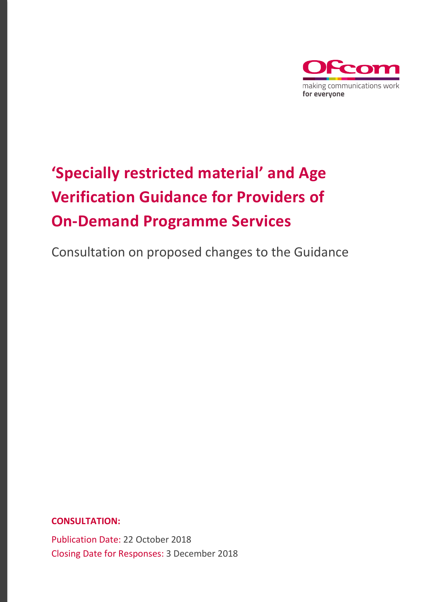

# **'Specially restricted material' and Age Verification Guidance for Providers of On-Demand Programme Services**

Consultation on proposed changes to the Guidance

**CONSULTATION:**

Publication Date: 22 October 2018 Closing Date for Responses: 3 December 2018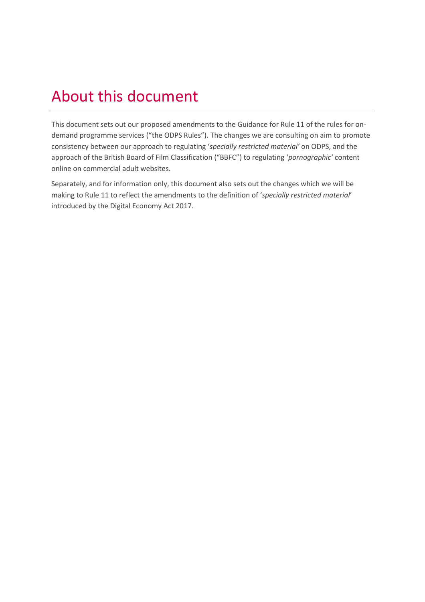# About this document

This document sets out our proposed amendments to the Guidance for Rule 11 of the rules for ondemand programme services ("the ODPS Rules"). The changes we are consulting on aim to promote consistency between our approach to regulating '*specially restricted material'* on ODPS, and the approach of the British Board of Film Classification ("BBFC") to regulating '*pornographic'* content online on commercial adult websites.

Separately, and for information only, this document also sets out the changes which we will be making to Rule 11 to reflect the amendments to the definition of '*specially restricted material*' introduced by the Digital Economy Act 2017.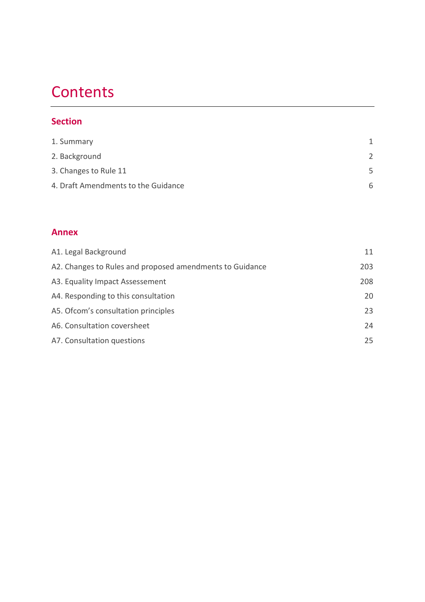## **Contents**

### **Section**

| 1. Summary                          |               |
|-------------------------------------|---------------|
| 2. Background                       | $\mathcal{D}$ |
| 3. Changes to Rule 11               | 5             |
| 4. Draft Amendments to the Guidance | 6             |

### **Annex**

| A1. Legal Background                                     | 11  |
|----------------------------------------------------------|-----|
| A2. Changes to Rules and proposed amendments to Guidance | 203 |
| A3. Equality Impact Assessement                          | 208 |
| A4. Responding to this consultation                      | 20  |
| A5. Ofcom's consultation principles                      | 23  |
| A6. Consultation coversheet                              | 24  |
| A7. Consultation questions                               | 25  |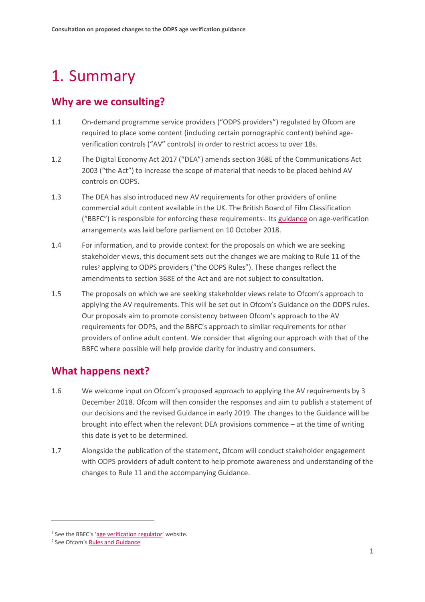# <span id="page-3-0"></span>1. Summary

## **Why are we consulting?**

- 1.1 On-demand programme service providers ("ODPS providers") regulated by Ofcom are required to place some content (including certain pornographic content) behind ageverification controls ("AV" controls) in order to restrict access to over 18s.
- 1.2 The Digital Economy Act 2017 ("DEA") amends section 368E of the Communications Act 2003 ("the Act") to increase the scope of material that needs to be placed behind AV controls on ODPS.
- 1.3 The DEA has also introduced new AV requirements for other providers of online commercial adult content available in the UK. The British Board of Film Classification ("BBFC") is responsible for enforcing these requirements[1](#page-3-1). It[s guidance](https://www.ageverificationregulator.com/assets/bbfc-guidance-on-age-verification-arrangements-october-2018-v2.pdf) on age-verification arrangements was laid before parliament on 10 October 2018.
- 1.4 For information, and to provide context for the proposals on which we are seeking stakeholder views, this document sets out the changes we are making to Rule 11 of the rules<sup>[2](#page-3-2)</sup> applying to ODPS providers ("the ODPS Rules"). These changes reflect the amendments to section 368E of the Act and are not subject to consultation.
- 1.5 The proposals on which we are seeking stakeholder views relate to Ofcom's approach to applying the AV requirements. This will be set out in Ofcom's Guidance on the ODPS rules. Our proposals aim to promote consistency between Ofcom's approach to the AV requirements for ODPS, and the BBFC's approach to similar requirements for other providers of online adult content. We consider that aligning our approach with that of the BBFC where possible will help provide clarity for industry and consumers.

### **What happens next?**

- 1.6 We welcome input on Ofcom's proposed approach to applying the AV requirements by 3 December 2018. Ofcom will then consider the responses and aim to publish a statement of our decisions and the revised Guidance in early 2019. The changes to the Guidance will be brought into effect when the relevant DEA provisions commence – at the time of writing this date is yet to be determined.
- 1.7 Alongside the publication of the statement, Ofcom will conduct stakeholder engagement with ODPS providers of adult content to help promote awareness and understanding of the changes to Rule 11 and the accompanying Guidance.

<span id="page-3-1"></span><sup>&</sup>lt;sup>1</sup> See the BBFC's ['age verification regulator'](https://www.ageverificationregulator.com/) website.

<span id="page-3-2"></span><sup>2</sup> See Ofcom'[s Rules and Guidance](https://www.ofcom.org.uk/__data/assets/pdf_file/0022/54922/rules_and_guidance.pdf)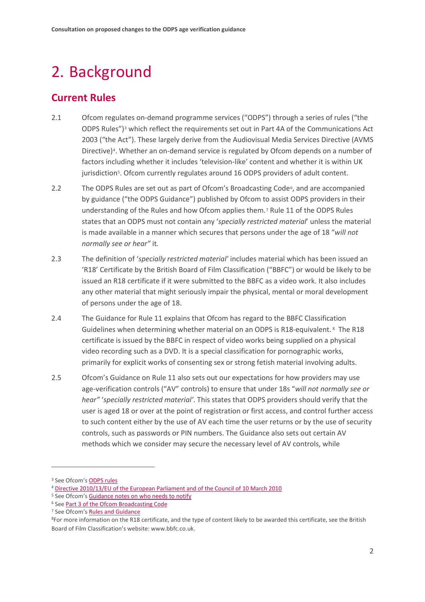# 2. Background

## **Current Rules**

- 2.1 Ofcom regulates on-demand programme services ("ODPS") through a series of rules ("the ODPS Rules")<sup>[3](#page-4-0)</sup> which reflect the requirements set out in Part 4A of the Communications Act 2003 ("the Act"). These largely derive from the Audiovisual Media Services Directive (AVMS Directive)<sup>[4](#page-4-1)</sup>. Whether an on-demand service is regulated by Ofcom depends on a number of factors including whether it includes 'television-like' content and whether it is within UK jurisdiction<sup>5</sup>. Ofcom currently regulates around 16 ODPS providers of adult content.
- 2.2 The ODPS Rules are set out as part of Ofcom's Broadcasting Code<sup>6</sup>, and are accompanied by guidance ("the ODPS Guidance") published by Ofcom to assist ODPS providers in their understanding of the Rules and how Ofcom applies them[.7](#page-4-4) Rule 11 of the ODPS Rules states that an ODPS must not contain any '*specially restricted material*' unless the material is made available in a manner which secures that persons under the age of 18 "*will not normally see or hear"* it*.*
- 2.3 The definition of '*specially restricted material'* includes material which has been issued an 'R18' Certificate by the British Board of Film Classification ("BBFC") or would be likely to be issued an R18 certificate if it were submitted to the BBFC as a video work. It also includes any other material that might seriously impair the physical, mental or moral development of persons under the age of 18.
- 2.4 The Guidance for Rule 11 explains that Ofcom has regard to the BBFC Classification Guidelines when determining whether material on an ODPS is R18-equivalent. [8](#page-4-5) The R18 certificate is issued by the BBFC in respect of video works being supplied on a physical video recording such as a DVD. It is a special classification for pornographic works, primarily for explicit works of consenting sex or strong fetish material involving adults.
- 2.5 Ofcom's Guidance on Rule 11 also sets out our expectations for how providers may use age-verification controls ("AV" controls) to ensure that under 18s "*will not normally see or hear"* '*specially restricted material'*. This states that ODPS providers should verify that the user is aged 18 or over at the point of registration or first access, and control further access to such content either by the use of AV each time the user returns or by the use of security controls, such as passwords or PIN numbers. The Guidance also sets out certain AV methods which we consider may secure the necessary level of AV controls, while

<span id="page-4-0"></span><sup>&</sup>lt;sup>3</sup> See Ofcom's **ODPS** rules

<span id="page-4-1"></span><sup>4</sup> [Directive 2010/13/EU of the European Parliament and of the Council of 10 March 2010](https://eur-lex.europa.eu/legal-content/EN/TXT/?uri=CELEX:32010L0013)

<span id="page-4-2"></span><sup>&</sup>lt;sup>5</sup> See Ofcom's **Guidance notes on who needs to notify** 

<span id="page-4-3"></span><sup>6</sup> Se[e Part 3 of the Ofcom Broadcasting Code](https://www.ofcom.org.uk/__data/assets/pdf_file/0003/100110/broadcast-code-april-2017-odps-rules.pdf)

<span id="page-4-4"></span><sup>&</sup>lt;sup>7</sup> See Ofcom'[s Rules and Guidance](https://www.ofcom.org.uk/__data/assets/pdf_file/0022/54922/rules_and_guidance.pdf)

<span id="page-4-5"></span><sup>&</sup>lt;sup>8</sup>For more information on the R18 certificate, and the type of content likely to be awarded this certificate, see the British Board of Film Classification's website[: www.bbfc.co.uk.](http://www.bbfc.co.uk/)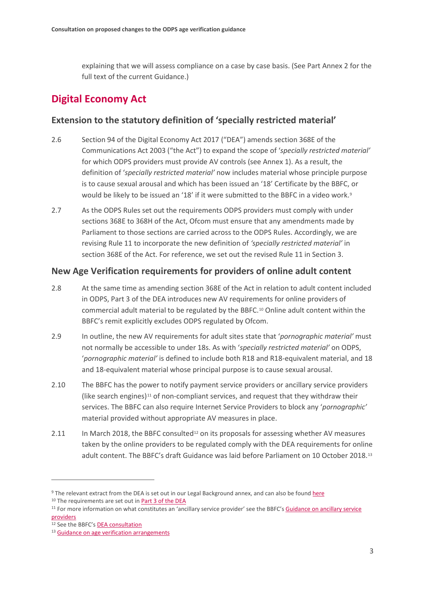explaining that we will assess compliance on a case by case basis. (See Part Annex 2 for the full text of the current Guidance.)

## **Digital Economy Act**

### **Extension to the statutory definition of 'specially restricted material'**

- 2.6 Section 94 of the Digital Economy Act 2017 ("DEA") amends section 368E of the Communications Act 2003 ("the Act") to expand the scope of '*specially restricted material'* for which ODPS providers must provide AV controls (see Annex 1). As a result, the definition of '*specially restricted material'* now includes material whose principle purpose is to cause sexual arousal and which has been issued an '18' Certificate by the BBFC, or would be likely to be issued an '18' if it were submitted to the BBFC in a video work.<sup>[9](#page-5-0)</sup>
- 2.7 As the ODPS Rules set out the requirements ODPS providers must comply with under sections 368E to 368H of the Act, Ofcom must ensure that any amendments made by Parliament to those sections are carried across to the ODPS Rules. Accordingly, we are revising Rule 11 to incorporate the new definition of *'specially restricted material'* in section 368E of the Act. For reference, we set out the revised Rule 11 in Section 3.

### **New Age Verification requirements for providers of online adult content**

- 2.8 At the same time as amending section 368E of the Act in relation to adult content included in ODPS, Part 3 of the DEA introduces new AV requirements for online providers of commercial adult material to be regulated by the BBFC.[10](#page-5-1) Online adult content within the BBFC's remit explicitly excludes ODPS regulated by Ofcom.
- 2.9 In outline, the new AV requirements for adult sites state that '*pornographic material'* must not normally be accessible to under 18s. As with '*specially restricted material'* on ODPS, '*pornographic material'* is defined to include both R18 and R18-equivalent material, and 18 and 18-equivalent material whose principal purpose is to cause sexual arousal.
- 2.10 The BBFC has the power to notify payment service providers or ancillary service providers (like search engines)[11](#page-5-2) of non-compliant services, and request that they withdraw their services. The BBFC can also require Internet Service Providers to block any '*pornographic'*  material provided without appropriate AV measures in place.
- 2.11 In March 2018, the BBFC consulted<sup>[12](#page-5-3)</sup> on its proposals for assessing whether AV measures taken by the online providers to be regulated comply with the DEA requirements for online adult content. The BBFC's draft Guidance was laid before Parliament on 10 October 2018.[13](#page-5-4)

<span id="page-5-0"></span><sup>9</sup> The relevant extract from the DEA is set out in our Legal Background annex, and can also be found [here](https://www.legislation.gov.uk/ukpga/2017/30/section/94)

<span id="page-5-1"></span><sup>&</sup>lt;sup>10</sup> The requirements are set out in **Part [3 of the DEA](http://www.legislation.gov.uk/ukpga/2017/30/part/3/enacted)** 

<span id="page-5-2"></span><sup>&</sup>lt;sup>11</sup> For more information on what constitutes an 'ancillary service provider' see the BBFC's Guidance on ancillary service [providers](https://www.ageverificationregulator.com/assets/bbfc_guidance_on_ancillary_service_providers_october_2018-v2.pdf)

<span id="page-5-3"></span><sup>12</sup> See the BBFC's **DEA consultation** 

<span id="page-5-4"></span><sup>13</sup> [Guidance on age verification arrangements](https://www.ageverificationregulator.com/assets/bbfc-guidance-on-age-verification-arrangements-october-2018-v2.pdf)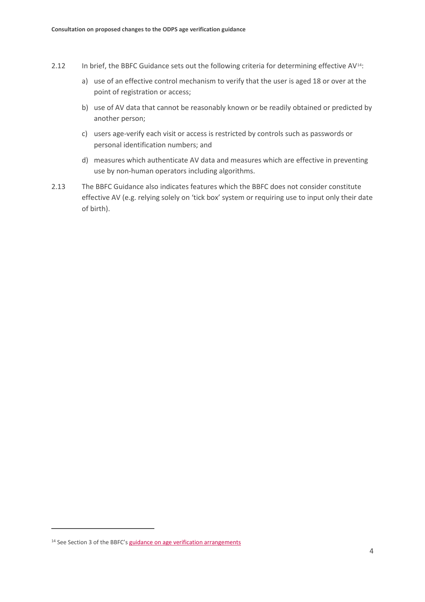- 2.12 In brief, the BBFC Guidance sets out the following criteria for determining effective AV<sup>[14](#page-6-0)</sup>:
	- a) use of an effective control mechanism to verify that the user is aged 18 or over at the point of registration or access;
	- b) use of AV data that cannot be reasonably known or be readily obtained or predicted by another person;
	- c) users age-verify each visit or access is restricted by controls such as passwords or personal identification numbers; and
	- d) measures which authenticate AV data and measures which are effective in preventing use by non-human operators including algorithms.
- 2.13 The BBFC Guidance also indicates features which the BBFC does not consider constitute effective AV (e.g. relying solely on 'tick box' system or requiring use to input only their date of birth).

<span id="page-6-0"></span><sup>&</sup>lt;sup>14</sup> See Section 3 of the BBFC's [guidance on age verification arrangements](https://www.ageverificationregulator.com/assets/bbfc-guidance-on-age-verification-arrangements-october-2018-v2.pdf)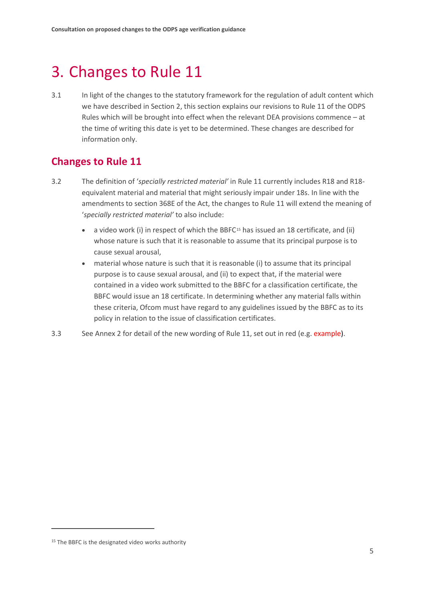# 3. Changes to Rule 11

3.1 In light of the changes to the statutory framework for the regulation of adult content which we have described in Section 2, this section explains our revisions to Rule 11 of the ODPS Rules which will be brought into effect when the relevant DEA provisions commence – at the time of writing this date is yet to be determined. These changes are described for information only.

## **Changes to Rule 11**

- 3.2 The definition of '*specially restricted material'* in Rule 11 currently includes R18 and R18 equivalent material and material that might seriously impair under 18s. In line with the amendments to section 368E of the Act, the changes to Rule 11 will extend the meaning of '*specially restricted material'* to also include:
	- a video work (i) in respect of which the BBFC<sup>[15](#page-7-0)</sup> has issued an 18 certificate, and (ii) whose nature is such that it is reasonable to assume that its principal purpose is to cause sexual arousal,
	- material whose nature is such that it is reasonable (i) to assume that its principal purpose is to cause sexual arousal, and (ii) to expect that, if the material were contained in a video work submitted to the BBFC for a classification certificate, the BBFC would issue an 18 certificate. In determining whether any material falls within these criteria, Ofcom must have regard to any guidelines issued by the BBFC as to its policy in relation to the issue of classification certificates.
- 3.3 See Annex 2 for detail of the new wording of Rule 11, set out in red (e.g. example).

<span id="page-7-0"></span><sup>&</sup>lt;sup>15</sup> The BBFC is the designated video works authority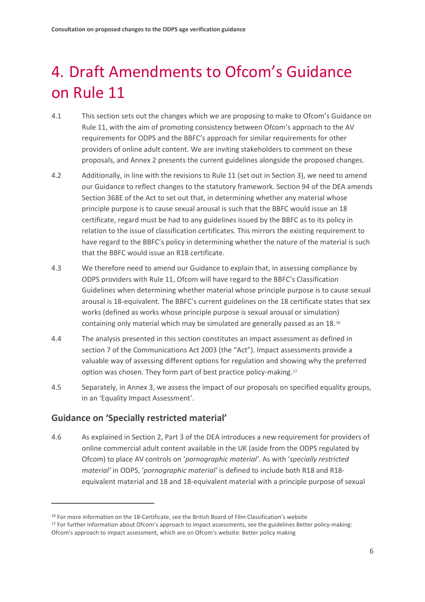# 4. Draft Amendments to Ofcom's Guidance on Rule 11

- 4.1 This section sets out the changes which we are proposing to make to Ofcom's Guidance on Rule 11, with the aim of promoting consistency between Ofcom's approach to the AV requirements for ODPS and the BBFC's approach for similar requirements for other providers of online adult content. We are inviting stakeholders to comment on these proposals, and Annex 2 presents the current guidelines alongside the proposed changes.
- 4.2 Additionally, in line with the revisions to Rule 11 (set out in Section 3), we need to amend our Guidance to reflect changes to the statutory framework. Section 94 of the DEA amends Section 368E of the Act to set out that, in determining whether any material whose principle purpose is to cause sexual arousal is such that the BBFC would issue an 18 certificate, regard must be had to any guidelines issued by the BBFC as to its policy in relation to the issue of classification certificates. This mirrors the existing requirement to have regard to the BBFC's policy in determining whether the nature of the material is such that the BBFC would issue an R18 certificate.
- 4.3 We therefore need to amend our Guidance to explain that, in assessing compliance by ODPS providers with Rule 11, Ofcom will have regard to the BBFC's Classification Guidelines when determining whether material whose principle purpose is to cause sexual arousal is 18-equivalent. The BBFC's current guidelines on the 18 certificate states that sex works (defined as works whose principle purpose is sexual arousal or simulation) containing only material which may be simulated are generally passed as an 18.[16](#page-8-0)
- 4.4 The analysis presented in this section constitutes an impact assessment as defined in section 7 of the Communications Act 2003 (the "Act"). Impact assessments provide a valuable way of assessing different options for regulation and showing why the preferred option was chosen. They form part of best practice policy-making.[17](#page-8-1)
- 4.5 Separately, in Annex 3, we assess the impact of our proposals on specified equality groups, in an 'Equality Impact Assessment'.

### **Guidance on 'Specially restricted material'**

 $\overline{a}$ 

4.6 As explained in Section 2, Part 3 of the DEA introduces a new requirement for providers of online commercial adult content available in the UK (aside from the ODPS regulated by Ofcom) to place AV controls on '*pornographic material'*. As with '*specially restricted material'* in ODPS, '*pornographic material'* is defined to include both R18 and R18 equivalent material and 18 and 18-equivalent material with a principle purpose of sexual

<span id="page-8-0"></span><sup>&</sup>lt;sup>16</sup> For more information on the 18-Certificate, see the British Board of Film Classification's website

<span id="page-8-1"></span><sup>17</sup> For further information about Ofcom's approach to impact assessments, see the guidelines Better policy-making: Ofcom's approach to impact assessment, which are on Ofcom's website: Better policy making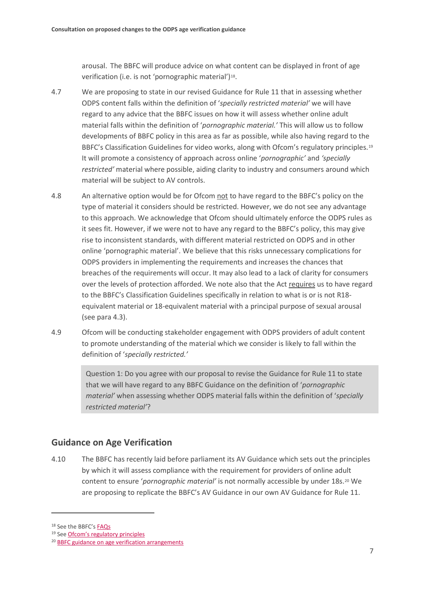arousal. The BBFC will produce advice on what content can be displayed in front of age verification (i.e. is not 'pornographic material')<sup>[18](#page-9-0)</sup>.

- 4.7 We are proposing to state in our revised Guidance for Rule 11 that in assessing whether ODPS content falls within the definition of '*specially restricted material'* we will have regard to any advice that the BBFC issues on how it will assess whether online adult material falls within the definition of '*pornographic material.'* This will allow us to follow developments of BBFC policy in this area as far as possible, while also having regard to the BBFC's Classification Guidelines for video works, along with Ofcom's regulatory principles.<sup>[19](#page-9-1)</sup> It will promote a consistency of approach across online '*pornographic'* and *'specially restricted'* material where possible, aiding clarity to industry and consumers around which material will be subject to AV controls.
- 4.8 An alternative option would be for Ofcom not to have regard to the BBFC's policy on the type of material it considers should be restricted. However, we do not see any advantage to this approach. We acknowledge that Ofcom should ultimately enforce the ODPS rules as it sees fit. However, if we were not to have any regard to the BBFC's policy, this may give rise to inconsistent standards, with different material restricted on ODPS and in other online 'pornographic material'. We believe that this risks unnecessary complications for ODPS providers in implementing the requirements and increases the chances that breaches of the requirements will occur. It may also lead to a lack of clarity for consumers over the levels of protection afforded. We note also that the Act requires us to have regard to the BBFC's Classification Guidelines specifically in relation to what is or is not R18 equivalent material or 18-equivalent material with a principal purpose of sexual arousal (see para 4.3).
- 4.9 Ofcom will be conducting stakeholder engagement with ODPS providers of adult content to promote understanding of the material which we consider is likely to fall within the definition of '*specially restricted.'*

Question 1: Do you agree with our proposal to revise the Guidance for Rule 11 to state that we will have regard to any BBFC Guidance on the definition of '*pornographic material'* when assessing whether ODPS material falls within the definition of '*specially restricted material'*?

### **Guidance on Age Verification**

4.10 The BBFC has recently laid before parliament its AV Guidance which sets out the principles by which it will assess compliance with the requirement for providers of online adult content to ensure '*pornographic material'* is not normally accessible by under 18s.[20](#page-9-2) We are proposing to replicate the BBFC's AV Guidance in our own AV Guidance for Rule 11.

<span id="page-9-1"></span><span id="page-9-0"></span><sup>18</sup> See the BBFC's [FAQs](https://www.ageverificationregulator.com/industry/faq#5)

<sup>19</sup> Se[e Ofcom's regulatory principles](https://www.ofcom.org.uk/about-ofcom/what-is-ofcom)

<span id="page-9-2"></span><sup>20</sup> [BBFC guidance on age verification arrangements](https://www.ageverificationregulator.com/assets/bbfc-guidance-on-age-verification-arrangements-october-2018-v2.pdf)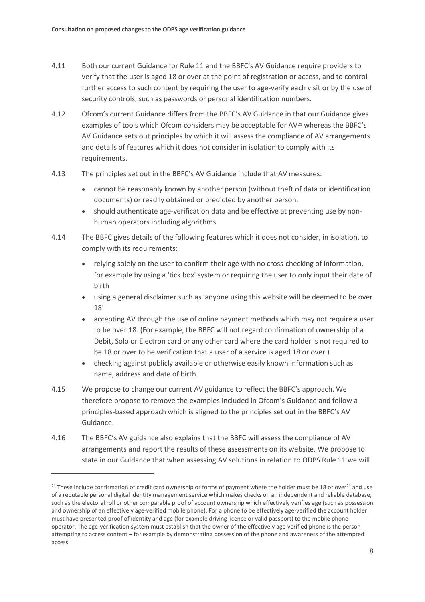- 4.11 Both our current Guidance for Rule 11 and the BBFC's AV Guidance require providers to verify that the user is aged 18 or over at the point of registration or access, and to control further access to such content by requiring the user to age-verify each visit or by the use of security controls, such as passwords or personal identification numbers.
- 4.12 Ofcom's current Guidance differs from the BBFC's AV Guidance in that our Guidance gives examples of tools which Ofcom considers may be acceptable for AV<sup>[21](#page-10-0)</sup> whereas the BBFC's AV Guidance sets out principles by which it will assess the compliance of AV arrangements and details of features which it does not consider in isolation to comply with its requirements.
- 4.13 The principles set out in the BBFC's AV Guidance include that AV measures:
	- cannot be reasonably known by another person (without theft of data or identification documents) or readily obtained or predicted by another person.
	- should authenticate age-verification data and be effective at preventing use by nonhuman operators including algorithms.
- 4.14 The BBFC gives details of the following features which it does not consider, in isolation, to comply with its requirements:
	- relying solely on the user to confirm their age with no cross-checking of information, for example by using a 'tick box' system or requiring the user to only input their date of birth
	- using a general disclaimer such as 'anyone using this website will be deemed to be over 18'
	- accepting AV through the use of online payment methods which may not require a user to be over 18. (For example, the BBFC will not regard confirmation of ownership of a Debit, Solo or Electron card or any other card where the card holder is not required to be 18 or over to be verification that a user of a service is aged 18 or over.)
	- checking against publicly available or otherwise easily known information such as name, address and date of birth.
- 4.15 We propose to change our current AV guidance to reflect the BBFC's approach. We therefore propose to remove the examples included in Ofcom's Guidance and follow a principles-based approach which is aligned to the principles set out in the BBFC's AV Guidance.
- 4.16 The BBFC's AV guidance also explains that the BBFC will assess the compliance of AV arrangements and report the results of these assessments on its website. We propose to state in our Guidance that when assessing AV solutions in relation to ODPS Rule 11 we will

<span id="page-10-0"></span><sup>&</sup>lt;sup>21</sup> These include confirmation of credit card ownership or forms of payment where the holder must be 18 or over<sup>21</sup> and use of a reputable personal digital identity management service which makes checks on an independent and reliable database, such as the electoral roll or other comparable proof of account ownership which effectively verifies age (such as possession and ownership of an effectively age-verified mobile phone). For a phone to be effectively age-verified the account holder must have presented proof of identity and age (for example driving licence or valid passport) to the mobile phone operator. The age-verification system must establish that the owner of the effectively age-verified phone is the person attempting to access content – for example by demonstrating possession of the phone and awareness of the attempted access.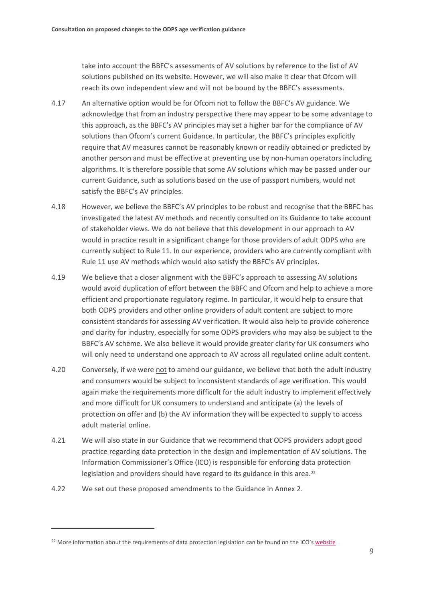take into account the BBFC's assessments of AV solutions by reference to the list of AV solutions published on its website. However, we will also make it clear that Ofcom will reach its own independent view and will not be bound by the BBFC's assessments.

- 4.17 An alternative option would be for Ofcom not to follow the BBFC's AV guidance. We acknowledge that from an industry perspective there may appear to be some advantage to this approach, as the BBFC's AV principles may set a higher bar for the compliance of AV solutions than Ofcom's current Guidance. In particular, the BBFC's principles explicitly require that AV measures cannot be reasonably known or readily obtained or predicted by another person and must be effective at preventing use by non-human operators including algorithms. It is therefore possible that some AV solutions which may be passed under our current Guidance, such as solutions based on the use of passport numbers, would not satisfy the BBFC's AV principles.
- 4.18 However, we believe the BBFC's AV principles to be robust and recognise that the BBFC has investigated the latest AV methods and recently consulted on its Guidance to take account of stakeholder views. We do not believe that this development in our approach to AV would in practice result in a significant change for those providers of adult ODPS who are currently subject to Rule 11. In our experience, providers who are currently compliant with Rule 11 use AV methods which would also satisfy the BBFC's AV principles.
- 4.19 We believe that a closer alignment with the BBFC's approach to assessing AV solutions would avoid duplication of effort between the BBFC and Ofcom and help to achieve a more efficient and proportionate regulatory regime. In particular, it would help to ensure that both ODPS providers and other online providers of adult content are subject to more consistent standards for assessing AV verification. It would also help to provide coherence and clarity for industry, especially for some ODPS providers who may also be subject to the BBFC's AV scheme. We also believe it would provide greater clarity for UK consumers who will only need to understand one approach to AV across all regulated online adult content.
- 4.20 Conversely, if we were not to amend our guidance, we believe that both the adult industry and consumers would be subject to inconsistent standards of age verification. This would again make the requirements more difficult for the adult industry to implement effectively and more difficult for UK consumers to understand and anticipate (a) the levels of protection on offer and (b) the AV information they will be expected to supply to access adult material online.
- 4.21 We will also state in our Guidance that we recommend that ODPS providers adopt good practice regarding data protection in the design and implementation of AV solutions. The Information Commissioner's Office (ICO) is responsible for enforcing data protection legislation and providers should have regard to its guidance in this area.<sup>[22](#page-11-0)</sup>
- 4.22 We set out these proposed amendments to the Guidance in Annex 2.

<span id="page-11-0"></span><sup>&</sup>lt;sup>22</sup> More information about the requirements of data protection legislation can be found on the ICO'[s website](http://www.ico.org.uk./)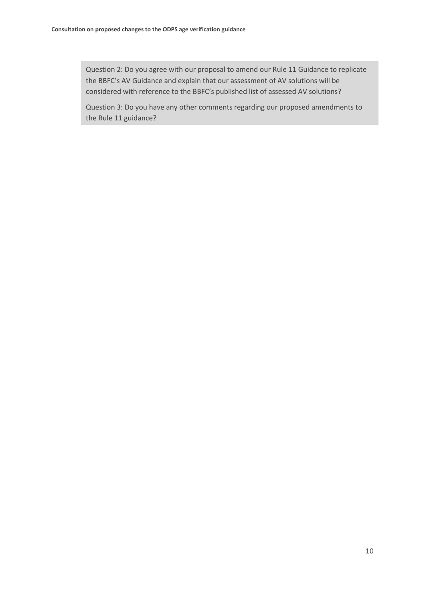Question 2: Do you agree with our proposal to amend our Rule 11 Guidance to replicate the BBFC's AV Guidance and explain that our assessment of AV solutions will be considered with reference to the BBFC's published list of assessed AV solutions?

Question 3: Do you have any other comments regarding our proposed amendments to the Rule 11 guidance?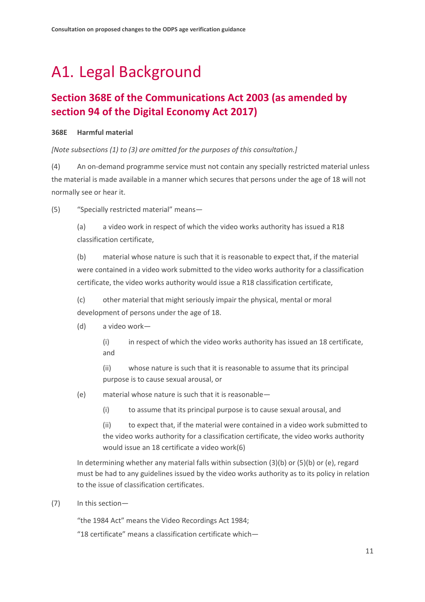# A1. Legal Background

## **Section 368E of the Communications Act 2003 (as amended by section 94 of the Digital Economy Act 2017)**

#### **368E Harmful material**

*[Note subsections (1) to (3) are omitted for the purposes of this consultation.]*

(4) An on-demand programme service must not contain any specially restricted material unless the material is made available in a manner which secures that persons under the age of 18 will not normally see or hear it.

(5) "Specially restricted material" means—

(a) a video work in respect of which the video works authority has issued a R18 classification certificate,

(b) material whose nature is such that it is reasonable to expect that, if the material were contained in a video work submitted to the video works authority for a classification certificate, the video works authority would issue a R18 classification certificate,

(c) other material that might seriously impair the physical, mental or moral development of persons under the age of 18.

(d) a video work—

(i) in respect of which the video works authority has issued an 18 certificate, and

(ii) whose nature is such that it is reasonable to assume that its principal purpose is to cause sexual arousal, or

- (e) material whose nature is such that it is reasonable—
	- (i) to assume that its principal purpose is to cause sexual arousal, and

(ii) to expect that, if the material were contained in a video work submitted to the video works authority for a classification certificate, the video works authority would issue an 18 certificate a video work(6)

In determining whether any material falls within subsection (3)(b) or (5)(b) or (e), regard must be had to any guidelines issued by the video works authority as to its policy in relation to the issue of classification certificates.

(7) In this section—

"the 1984 Act" means the Video Recordings Act 1984;

"18 certificate" means a classification certificate which—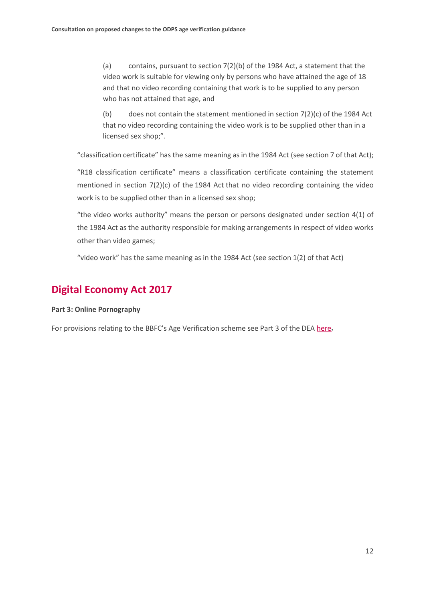(a) contains, pursuant to section 7(2)(b) of the 1984 Act, a statement that the video work is suitable for viewing only by persons who have attained the age of 18 and that no video recording containing that work is to be supplied to any person who has not attained that age, and

(b) does not contain the statement mentioned in section  $7(2)(c)$  of the 1984 Act that no video recording containing the video work is to be supplied other than in a licensed sex shop;".

"classification certificate" has the same meaning as in the 1984 Act (see section 7 of that Act);

"R18 classification certificate" means a classification certificate containing the statement mentioned in section 7(2)(c) of the 1984 Act that no video recording containing the video work is to be supplied other than in a licensed sex shop;

"the video works authority" means the person or persons designated under section 4(1) of the 1984 Act as the authority responsible for making arrangements in respect of video works other than video games;

"video work" has the same meaning as in the 1984 Act (see section 1(2) of that Act)

## **Digital Economy Act 2017**

#### **Part 3: Online Pornography**

For provisions relating to the BBFC's Age Verification scheme see Part 3 of the DEA [here](http://www.legislation.gov.uk/ukpga/2017/30/part/3/enacted).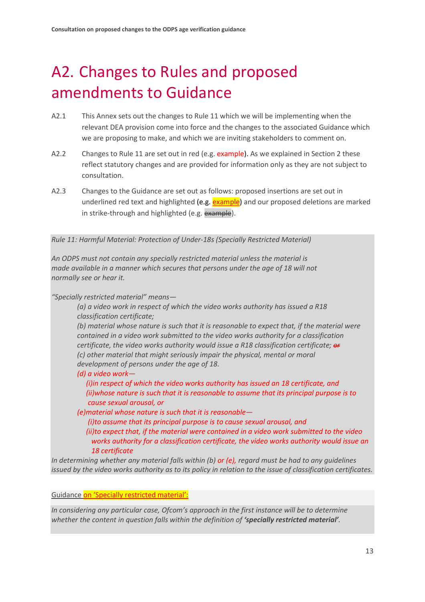# A2. Changes to Rules and proposed amendments to Guidance

- A2.1 This Annex sets out the changes to Rule 11 which we will be implementing when the relevant DEA provision come into force and the changes to the associated Guidance which we are proposing to make, and which we are inviting stakeholders to comment on.
- A2.2 Changes to Rule 11 are set out in red (e.g. example). As we explained in Section 2 these reflect statutory changes and are provided for information only as they are not subject to consultation.
- A2.3 Changes to the Guidance are set out as follows: proposed insertions are set out in underlined red text and highlighted (e.g. example) and our proposed deletions are marked in strike-through and highlighted (e.g. example).

*Rule 11: Harmful Material: Protection of Under-18s (Specially Restricted Material)*

*An ODPS must not contain any specially restricted material unless the material is made available in a manner which secures that persons under the age of 18 will not normally see or hear it.*

*"Specially restricted material" means—*

*(a) a video work in respect of which the video works authority has issued a R18 classification certificate;*

*(b) material whose nature is such that it is reasonable to expect that, if the material were contained in a video work submitted to the video works authority for a classification certificate, the video works authority would issue a R18 classification certificate; or (c) other material that might seriously impair the physical, mental or moral development of persons under the age of 18.*

*(d) a video work—*

 *(i)in respect of which the video works authority has issued an 18 certificate, and (ii)whose nature is such that it is reasonable to assume that its principal purpose is to cause sexual arousal, or*

*(e)material whose nature is such that it is reasonable—*

 *(i)to assume that its principal purpose is to cause sexual arousal, and*

 *(ii)to expect that, if the material were contained in a video work submitted to the video works authority for a classification certificate, the video works authority would issue an 18 certificate*

*In determining whether any material falls within (b) or (e), regard must be had to any guidelines issued by the video works authority as to its policy in relation to the issue of classification certificates.*

Guidance on 'Specially restricted material':

*In considering any particular case, Ofcom's approach in the first instance will be to determine whether the content in question falls within the definition of 'specially restricted material'.*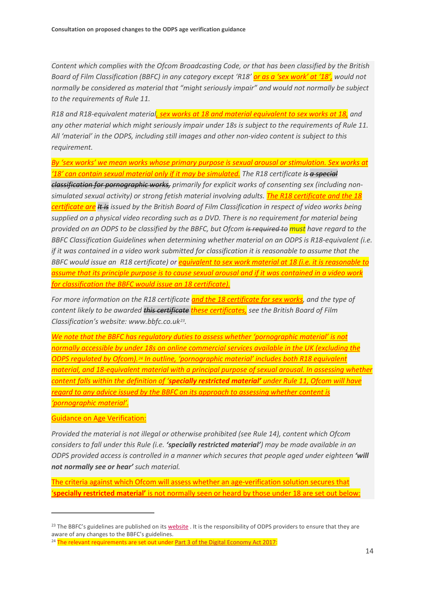*Content which complies with the Ofcom Broadcasting Code, or that has been classified by the British Board of Film Classification (BBFC) in any category except 'R18' or as a 'sex work' at '18', would not normally be considered as material that "might seriously impair" and would not normally be subject to the requirements of Rule 11.* 

*R18 and R18-equivalent material, sex works at 18 and material equivalent to sex works at 18, and any other material which might seriously impair under 18s is subject to the requirements of Rule 11. All 'material' in the ODPS, including still images and other non-video content is subject to this requirement.* 

*By 'sex works' we mean works whose primary purpose is sexual arousal or stimulation. Sex works at '18' can contain sexual material only if it may be simulated. The R18 certificate is a special classification for pornographic works, primarily for explicit works of consenting sex (including nonsimulated sexual activity) or strong fetish material involving adults. The R18 certificate and the 18 certificate are It is issued by the British Board of Film Classification in respect of video works being supplied on a physical video recording such as a DVD. There is no requirement for material being provided on an ODPS to be classified by the BBFC, but Ofcom is required to must have regard to the BBFC Classification Guidelines when determining whether material on an ODPS is R18-equivalent (i.e. if it was contained in a video work submitted for classification it is reasonable to assume that the BBFC would issue an R18 certificate) or equivalent to sex work material at 18 (i.e. it is reasonable to assume that its principle purpose is to cause sexual arousal and if it was contained in a video work for classification the BBFC would issue an 18 certificate).*

*For more information on the R18 certificate and the 18 certificate for sex works, and the type of content likely to be awarded this certificate these certificates, see the British Board of Film Classification's website: www.bbfc.co.uk[23.](#page-16-0)*

*We note that the BBFC has regulatory duties to assess whether 'pornographic material' is not normally accessible by under 18s on online commercial services available in the UK (excluding the ODPS regulated by Ofcom).[24](#page-16-1) In outline, 'pornographic material' includes both R18 equivalent material, and 18-equivalent material with a principal purpose of sexual arousal. In assessing whether content falls within the definition of 'specially restricted material' under Rule 11, Ofcom will have regard to any advice issued by the BBFC on its approach to assessing whether content is 'pornographic material'.*

Guidance on Age Verification:

 $\overline{a}$ 

*Provided the material is not illegal or otherwise prohibited (see Rule 14), content which Ofcom considers to fall under this Rule (i.e. 'specially restricted material') may be made available in an ODPS provided access is controlled in a manner which secures that people aged under eighteen 'will not normally see or hear' such material.* 

The criteria against which Ofcom will assess whether an age-verification solution secures that '**specially restricted material'** is not normally seen or heard by those under 18 are set out below:

<span id="page-16-0"></span><sup>&</sup>lt;sup>23</sup> The BBFC's guidelines are published on it[s website](http://www.bbfc.co.uk/what-classification/guidelines) . It is the responsibility of ODPS providers to ensure that they are aware of any changes to the BBFC's guidelines.

<span id="page-16-1"></span><sup>&</sup>lt;sup>24</sup> The relevant requirements are set out under **Part 3 of the Digital Economy Act 2017:**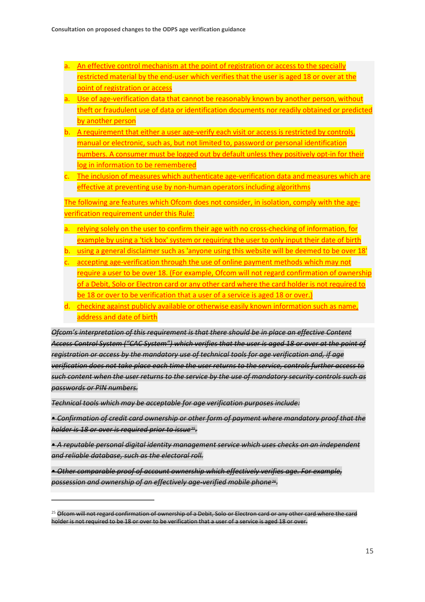- a. An effective control mechanism at the point of registration or access to the specially restricted material by the end-user which verifies that the user is aged 18 or over at the point of registration or access
- a. Use of age-verification data that cannot be reasonably known by another person, without theft or fraudulent use of data or identification documents nor readily obtained or predicted by another person
- b. A requirement that either a user age-verify each visit or access is restricted by controls, manual or electronic, such as, but not limited to, password or personal identification numbers. A consumer must be logged out by default unless they positively opt-in for their log in information to be remembered
- c. The inclusion of measures which authenticate age-verification data and measures which are effective at preventing use by non-human operators including algorithms

The following are features which Ofcom does not consider, in isolation, comply with the ageverification requirement under this Rule:

- a. relying solely on the user to confirm their age with no cross-checking of information, for example by using a 'tick box' system or requiring the user to only input their date of birth
- b. using a general disclaimer such as 'anyone using this website will be deemed to be over 18'
- c. accepting age-verification through the use of online payment methods which may not require a user to be over 18. (For example, Ofcom will not regard confirmation of ownership of a Debit, Solo or Electron card or any other card where the card holder is not required to be 18 or over to be verification that a user of a service is aged 18 or over.)
- d. checking against publicly available or otherwise easily known information such as name, address and date of birth

*Ofcom's interpretation of this requirement is that there should be in place an effective Content Access Control System ("CAC System") which verifies that the user is aged 18 or over at the point of registration or access by the mandatory use of technical tools for age verification and, if age verification does not take place each time the user returns to the service, controls further access to such content when the user returns to the service by the use of mandatory security controls such as passwords or PIN numbers.* 

*Technical tools which may be acceptable for age verification purposes include:* 

 $\overline{a}$ 

**• Confirmation of credit card ownership or other form of payment where mandatory proof that the** *holder is 18 or over is required prior to issue[25](#page-17-0).*

• *A reputable personal digital identity management service which uses checks on an independent and reliable database, such as the electoral roll.* 

• *Other comparable proof of account ownership which effectively verifies age. For example, possession and ownership of an effectively age-verified mobile phone[26.](#page-17-1)* 

<span id="page-17-1"></span><span id="page-17-0"></span><sup>&</sup>lt;sup>25</sup> Ofcom will not regard confirmation of ownership of a Debit, Solo or Electron card or any other card where the card holder is not required to be 18 or over to be verification that a user of a service is aged 18 or over.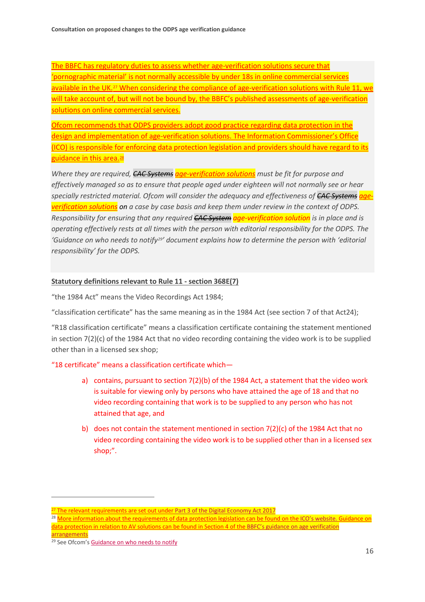The BBFC has regulatory duties to assess whether age-verification solutions secure that 'pornographic material' is not normally accessible by under 18s in online commercial services available in the UK.<sup>[27](#page-18-0)</sup> When considering the compliance of age-verification solutions with Rule 11, we will take account of, but will not be bound by, the BBFC's published assessments of age-verification solutions on online commercial services.

Ofcom recommends that ODPS providers adopt good practice regarding data protection in the design and implementation of age-verification solutions. The Information Commissioner's Office (ICO) is responsible for enforcing data protection legislation and providers should have regard to its guidance in this area.<sup>[28](#page-18-1)</sup>

*Where they are required, CAC Systems age-verification solutions must be fit for purpose and effectively managed so as to ensure that people aged under eighteen will not normally see or hear specially restricted material. Ofcom will consider the adequacy and effectiveness of CAC Systems ageverification solutions on a case by case basis and keep them under review in the context of ODPS. Responsibility for ensuring that any required CAC System age-verification solution is in place and is operating effectively rests at all times with the person with editorial responsibility for the ODPS. The 'Guidance on who needs to notify[29](#page-18-2)' document explains how to determine the person with 'editorial responsibility' for the ODPS.*

#### **Statutory definitions relevant to Rule 11 - section 368E(7)**

"the 1984 Act" means the Video Recordings Act 1984;

"classification certificate" has the same meaning as in the 1984 Act (see section 7 of that Act24);

"R18 classification certificate" means a classification certificate containing the statement mentioned in section 7(2)(c) of the 1984 Act that no video recording containing the video work is to be supplied other than in a licensed sex shop;

"18 certificate" means a classification certificate which—

- a) contains, pursuant to section 7(2)(b) of the 1984 Act, a statement that the video work is suitable for viewing only by persons who have attained the age of 18 and that no video recording containing that work is to be supplied to any person who has not attained that age, and
- b) does not contain the statement mentioned in section  $7(2)(c)$  of the 1984 Act that no video recording containing the video work is to be supplied other than in a licensed sex shop;".

<span id="page-18-0"></span><sup>&</sup>lt;sup>27</sup> The relevant requirements are set out under [Part 3 of the Digital Economy Act 2017](http://www.legislation.gov.uk/ukpga/2017/30/part/3/enacted)

<span id="page-18-1"></span><sup>&</sup>lt;sup>28</sup> More information about the requirements of data protection legislation can be found on th[e ICO's website.](http://www.ico.org.uk./) Guidance on data protection in relation to AV solutions can be found in Section 4 of th[e BBFC's guidance on age verification](https://www.ageverificationregulator.com/assets/bbfc-guidance-on-age-verification-arrangements-october-2018-v2.pdf)  [arrangements](https://www.ageverificationregulator.com/assets/bbfc-guidance-on-age-verification-arrangements-october-2018-v2.pdf)

<span id="page-18-2"></span><sup>&</sup>lt;sup>29</sup> See Ofcom's Guidance on who needs to notify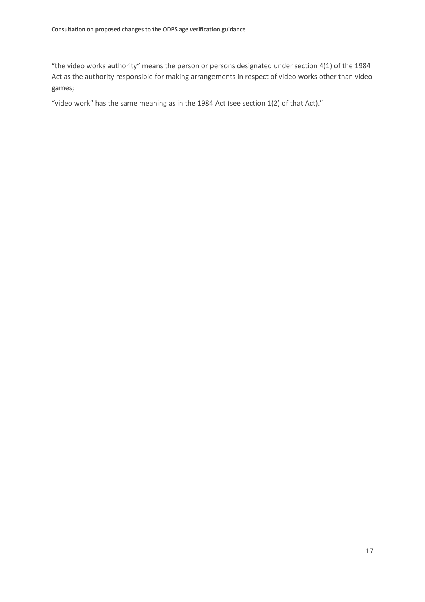"the video works authority" means the person or persons designated under section 4(1) of the 1984 Act as the authority responsible for making arrangements in respect of video works other than video games;

"video work" has the same meaning as in the 1984 Act (see section 1(2) of that Act)."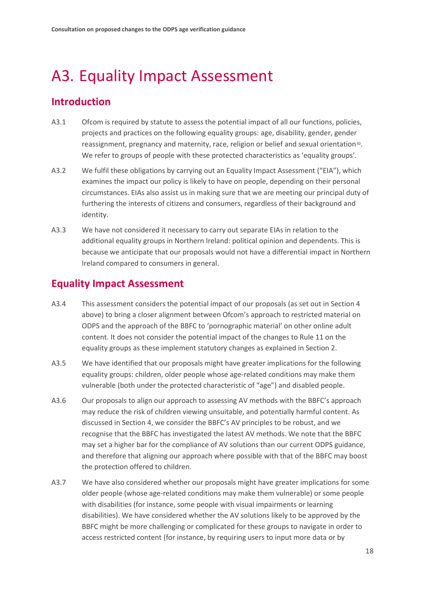# A3. Equality Impact Assessment

## **Introduction**

- A3.1 Ofcom is required by statute to assess the potential impact of all our functions, policies, projects and practices on the following equality groups: age, disability, gender, gender reassignment, pregnancy and maternity, race, religion or belief and sexual orientation<sup>30</sup>. We refer to groups of people with these protected characteristics as 'equality groups'.
- A3.2 We fulfil these obligations by carrying out an Equality Impact Assessment ("EIA"), which examines the impact our policy is likely to have on people, depending on their personal circumstances. EIAs also assist us in making sure that we are meeting our principal duty of furthering the interests of citizens and consumers, regardless of their background and identity.
- A3.3 We have not considered it necessary to carry out separate EIAs in relation to the additional equality groups in Northern Ireland: political opinion and dependents. This is because we anticipate that our proposals would not have a differential impact in Northern Ireland compared to consumers in general.

### **Equality Impact Assessment**

- A3.4 This assessment considers the potential impact of our proposals (as set out in Section 4 above) to bring a closer alignment between Ofcom's approach to restricted material on ODPS and the approach of the BBFC to 'pornographic material' on other online adult content. It does not consider the potential impact of the changes to Rule 11 on the equality groups as these implement statutory changes as explained in Section 2.
- A3.5 We have identified that our proposals might have greater implications for the following equality groups: children, older people whose age-related conditions may make them vulnerable (both under the protected characteristic of "age") and disabled people.
- A3.6 Our proposals to align our approach to assessing AV methods with the BBFC's approach may reduce the risk of children viewing unsuitable, and potentially harmful content. As discussed in Section 4, we consider the BBFC's AV principles to be robust, and we recognise that the BBFC has investigated the latest AV methods. We note that the BBFC may set a higher bar for the compliance of AV solutions than our current ODPS guidance, and therefore that aligning our approach where possible with that of the BBFC may boost the protection offered to children.
- <span id="page-20-0"></span>A3.7 We have also considered whether our proposals might have greater implications for some older people (whose age-related conditions may make them vulnerable) or some people with disabilities (for instance, some people with visual impairments or learning disabilities). We have considered whether the AV solutions likely to be approved by the BBFC might be more challenging or complicated for these groups to navigate in order to access restricted content (for instance, by requiring users to input more data or by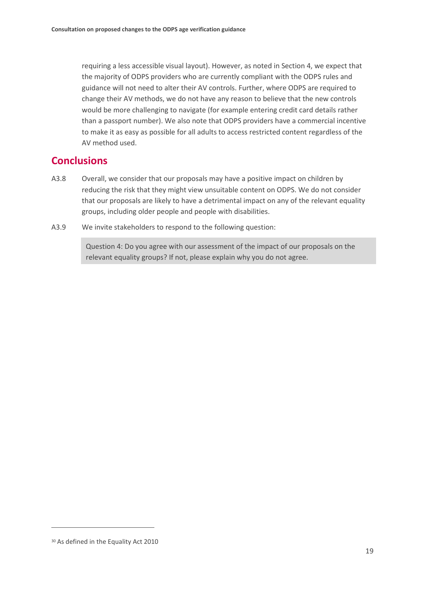requiring a less accessible visual layout). However, as noted in Section 4, we expect that the majority of ODPS providers who are currently compliant with the ODPS rules and guidance will not need to alter their AV controls. Further, where ODPS are required to change their AV methods, we do not have any reason to believe that the new controls would be more challenging to navigate (for example entering credit card details rather than a passport number). We also note that ODPS providers have a commercial incentive to make it as easy as possible for all adults to access restricted content regardless of the AV method used.

### **Conclusions**

- A3.8 Overall, we consider that our proposals may have a positive impact on children by reducing the risk that they might view unsuitable content on ODPS. We do not consider that our proposals are likely to have a detrimental impact on any of the relevant equality groups, including older people and people with disabilities.
- A3.9 We invite stakeholders to respond to the following question:

Question 4: Do you agree with our assessment of the impact of our proposals on the relevant equality groups? If not, please explain why you do not agree.

<sup>30</sup> As defined in the Equality Act 2010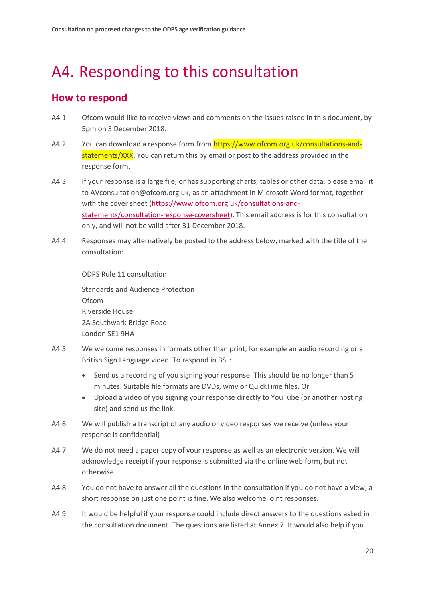# <span id="page-22-0"></span>A4. Responding to this consultation

## **How to respond**

- A4.1 Ofcom would like to receive views and comments on the issues raised in this document, by 5pm on 3 December 2018.
- A4.2 You can download a response form from https://www.ofcom.org.uk/consultations-andstatements/XXX. You can return this by email or post to the address provided in the response form.
- A4.3 If your response is a large file, or has supporting charts, tables or other data, please email it to AVconsultation@ofcom.org.uk, as an attachment in Microsoft Word format, together with the cover sheet [\(https://www.ofcom.org.uk/consultations-and](https://www.ofcom.org.uk/consultations-and-statements/consultation-response-coversheet)[statements/consultation-response-coversheet\)](https://www.ofcom.org.uk/consultations-and-statements/consultation-response-coversheet). This email address is for this consultation only, and will not be valid after 31 December 2018.
- A4.4 Responses may alternatively be posted to the address below, marked with the title of the consultation:

ODPS Rule 11 consultation

Standards and Audience Protection Ofcom Riverside House 2A Southwark Bridge Road London SE1 9HA

- A4.5 We welcome responses in formats other than print, for example an audio recording or a British Sign Language video. To respond in BSL:
	- Send us a recording of you signing your response. This should be no longer than 5 minutes. Suitable file formats are DVDs, wmv or QuickTime files. Or
	- Upload a video of you signing your response directly to YouTube (or another hosting site) and send us the link.
- A4.6 We will publish a transcript of any audio or video responses we receive (unless your response is confidential)
- A4.7 We do not need a paper copy of your response as well as an electronic version. We will acknowledge receipt if your response is submitted via the online web form, but not otherwise.
- A4.8 You do not have to answer all the questions in the consultation if you do not have a view; a short response on just one point is fine. We also welcome joint responses.
- A4.9 It would be helpful if your response could include direct answers to the questions asked in the consultation document. The questions are listed at Annex 7. It would also help if you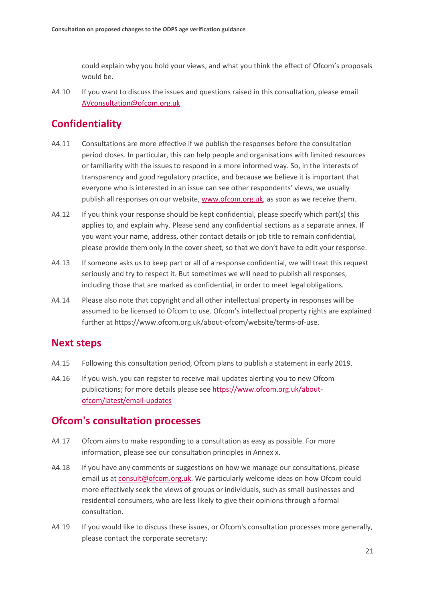could explain why you hold your views, and what you think the effect of Ofcom's proposals would be.

A4.10 If you want to discuss the issues and questions raised in this consultation, please email [AVconsultation@ofcom.org.uk](mailto:AVconsultation@ofcom.org.uk)

## **Confidentiality**

- A4.11 Consultations are more effective if we publish the responses before the consultation period closes. In particular, this can help people and organisations with limited resources or familiarity with the issues to respond in a more informed way. So, in the interests of transparency and good regulatory practice, and because we believe it is important that everyone who is interested in an issue can see other respondents' views, we usually publish all responses on our website, [www.ofcom.org.uk,](http://www.ofcom.org.uk/) as soon as we receive them.
- A4.12 If you think your response should be kept confidential, please specify which part(s) this applies to, and explain why. Please send any confidential sections as a separate annex. If you want your name, address, other contact details or job title to remain confidential, please provide them only in the cover sheet, so that we don't have to edit your response.
- A4.13 If someone asks us to keep part or all of a response confidential, we will treat this request seriously and try to respect it. But sometimes we will need to publish all responses, including those that are marked as confidential, in order to meet legal obligations.
- A4.14 Please also note that copyright and all other intellectual property in responses will be assumed to be licensed to Ofcom to use. Ofcom's intellectual property rights are explained further at https://www.ofcom.org.uk/about-ofcom/website/terms-of-use.

### **Next steps**

- A4.15 Following this consultation period, Ofcom plans to publish a statement in early 2019.
- A4.16 If you wish, you can register to receive mail updates alerting you to new Ofcom publications; for more details please se[e https://www.ofcom.org.uk/about](https://www.ofcom.org.uk/about-ofcom/latest/email-updates)[ofcom/latest/email-updates](https://www.ofcom.org.uk/about-ofcom/latest/email-updates)

### **Ofcom's consultation processes**

- A4.17 Ofcom aims to make responding to a consultation as easy as possible. For more information, please see our consultation principles in Annex x.
- A4.18 If you have any comments or suggestions on how we manage our consultations, please email us a[t consult@ofcom.org.uk.](mailto:consult@ofcom.org.uk) We particularly welcome ideas on how Ofcom could more effectively seek the views of groups or individuals, such as small businesses and residential consumers, who are less likely to give their opinions through a formal consultation.
- A4.19 If you would like to discuss these issues, or Ofcom's consultation processes more generally, please contact the corporate secretary: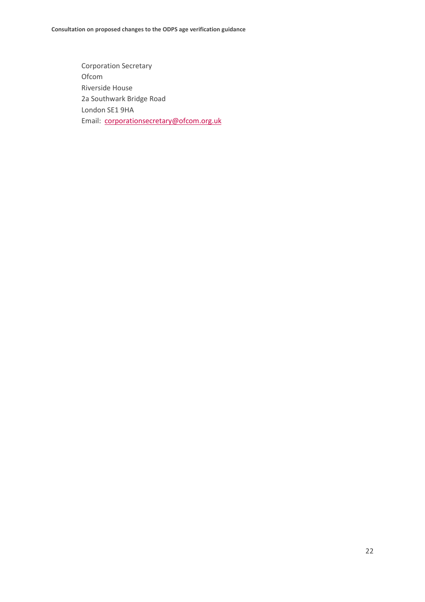Corporation Secretary Ofcom Riverside House 2a Southwark Bridge Road London SE1 9HA Email: [corporationsecretary@ofcom.org.uk](mailto:corporationsecretary@ofcom.org.uk)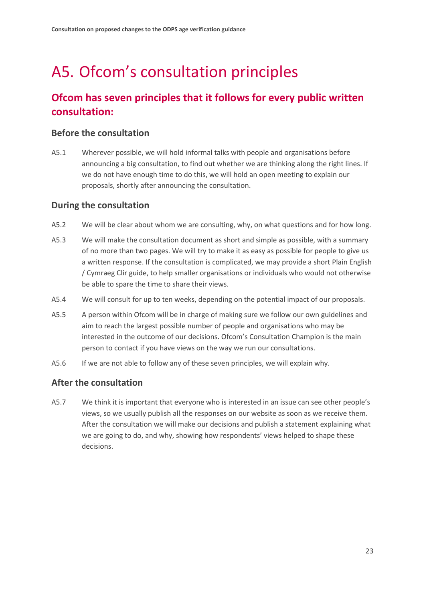# <span id="page-25-0"></span>A5. Ofcom's consultation principles

## **Ofcom has seven principles that it follows for every public written consultation:**

### **Before the consultation**

A5.1 Wherever possible, we will hold informal talks with people and organisations before announcing a big consultation, to find out whether we are thinking along the right lines. If we do not have enough time to do this, we will hold an open meeting to explain our proposals, shortly after announcing the consultation.

### **During the consultation**

- A5.2 We will be clear about whom we are consulting, why, on what questions and for how long.
- A5.3 We will make the consultation document as short and simple as possible, with a summary of no more than two pages. We will try to make it as easy as possible for people to give us a written response. If the consultation is complicated, we may provide a short Plain English / Cymraeg Clir guide, to help smaller organisations or individuals who would not otherwise be able to spare the time to share their views.
- A5.4 We will consult for up to ten weeks, depending on the potential impact of our proposals.
- A5.5 A person within Ofcom will be in charge of making sure we follow our own guidelines and aim to reach the largest possible number of people and organisations who may be interested in the outcome of our decisions. Ofcom's Consultation Champion is the main person to contact if you have views on the way we run our consultations.
- A5.6 If we are not able to follow any of these seven principles, we will explain why.

### **After the consultation**

A5.7 We think it is important that everyone who is interested in an issue can see other people's views, so we usually publish all the responses on our website as soon as we receive them. After the consultation we will make our decisions and publish a statement explaining what we are going to do, and why, showing how respondents' views helped to shape these decisions.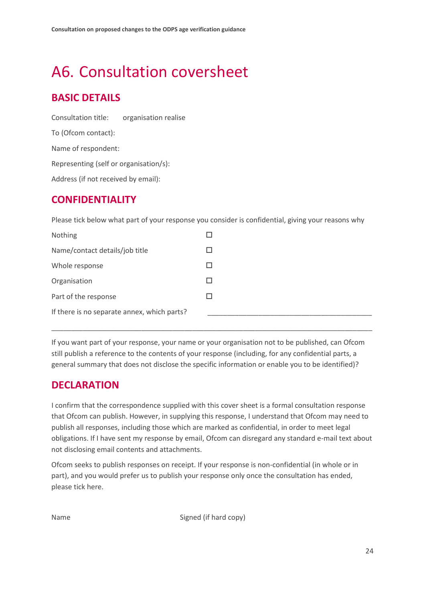# <span id="page-26-0"></span>A6. Consultation coversheet

## **BASIC DETAILS**

Consultation title: organisation realise To (Ofcom contact): Name of respondent: Representing (self or organisation/s): Address (if not received by email):

## **CONFIDENTIALITY**

Please tick below what part of your response you consider is confidential, giving your reasons why

| Nothing                                     |              |
|---------------------------------------------|--------------|
| Name/contact details/job title              |              |
| Whole response                              |              |
| Organisation                                | $\mathbf{I}$ |
| Part of the response                        |              |
| If there is no separate annex, which parts? |              |

If you want part of your response, your name or your organisation not to be published, can Ofcom still publish a reference to the contents of your response (including, for any confidential parts, a general summary that does not disclose the specific information or enable you to be identified)?

\_\_\_\_\_\_\_\_\_\_\_\_\_\_\_\_\_\_\_\_\_\_\_\_\_\_\_\_\_\_\_\_\_\_\_\_\_\_\_\_\_\_\_\_\_\_\_\_\_\_\_\_\_\_\_\_\_\_\_\_\_\_\_\_\_\_\_\_\_\_\_\_\_\_\_\_\_\_\_\_\_\_

## **DECLARATION**

I confirm that the correspondence supplied with this cover sheet is a formal consultation response that Ofcom can publish. However, in supplying this response, I understand that Ofcom may need to publish all responses, including those which are marked as confidential, in order to meet legal obligations. If I have sent my response by email, Ofcom can disregard any standard e-mail text about not disclosing email contents and attachments.

Ofcom seeks to publish responses on receipt. If your response is non-confidential (in whole or in part), and you would prefer us to publish your response only once the consultation has ended, please tick here.

Name Signed (if hard copy)